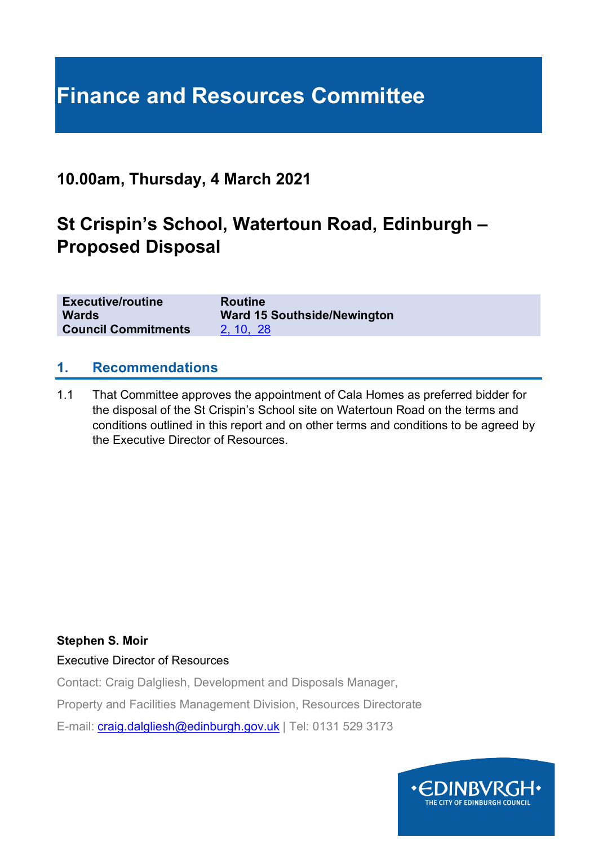# **Finance and Resources Committee**

# **10.00am, Thursday, 4 March 2021**

# **St Crispin's School, Watertoun Road, Edinburgh – Proposed Disposal**

| <b>Executive/routine</b>   | <b>Routine</b>                     |
|----------------------------|------------------------------------|
| <b>Wards</b>               | <b>Ward 15 Southside/Newington</b> |
| <b>Council Commitments</b> | 2, 10, 28                          |

#### **1. Recommendations**

1.1 That Committee approves the appointment of Cala Homes as preferred bidder for the disposal of the St Crispin's School site on Watertoun Road on the terms and conditions outlined in this report and on other terms and conditions to be agreed by the Executive Director of Resources.

#### **Stephen S. Moir**

Executive Director of Resources

Contact: Craig Dalgliesh, Development and Disposals Manager,

Property and Facilities Management Division, Resources Directorate

E-mail: [craig.dalgliesh@edinburgh.gov.uk](mailto:craig.dalgliesh@edinburgh.gov.uk) | Tel: 0131 529 3173

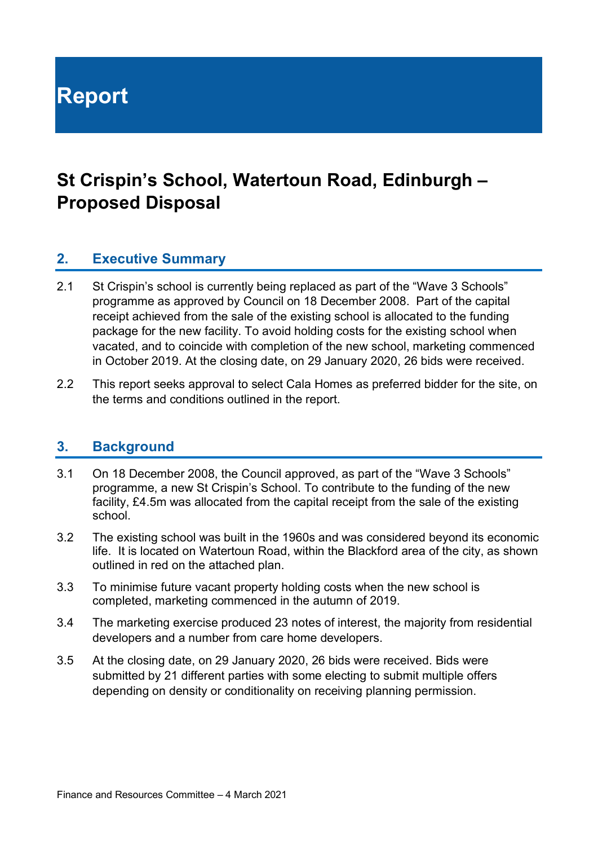**Report**

# **St Crispin's School, Watertoun Road, Edinburgh – Proposed Disposal**

### **2. Executive Summary**

- 2.1 St Crispin's school is currently being replaced as part of the "Wave 3 Schools" programme as approved by Council on 18 December 2008. Part of the capital receipt achieved from the sale of the existing school is allocated to the funding package for the new facility. To avoid holding costs for the existing school when vacated, and to coincide with completion of the new school, marketing commenced in October 2019. At the closing date, on 29 January 2020, 26 bids were received.
- 2.2 This report seeks approval to select Cala Homes as preferred bidder for the site, on the terms and conditions outlined in the report.

#### **3. Background**

- 3.1 On 18 December 2008, the Council approved, as part of the "Wave 3 Schools" programme, a new St Crispin's School. To contribute to the funding of the new facility, £4.5m was allocated from the capital receipt from the sale of the existing school.
- 3.2 The existing school was built in the 1960s and was considered beyond its economic life. It is located on Watertoun Road, within the Blackford area of the city, as shown outlined in red on the attached plan.
- 3.3 To minimise future vacant property holding costs when the new school is completed, marketing commenced in the autumn of 2019.
- 3.4 The marketing exercise produced 23 notes of interest, the majority from residential developers and a number from care home developers.
- 3.5 At the closing date, on 29 January 2020, 26 bids were received. Bids were submitted by 21 different parties with some electing to submit multiple offers depending on density or conditionality on receiving planning permission.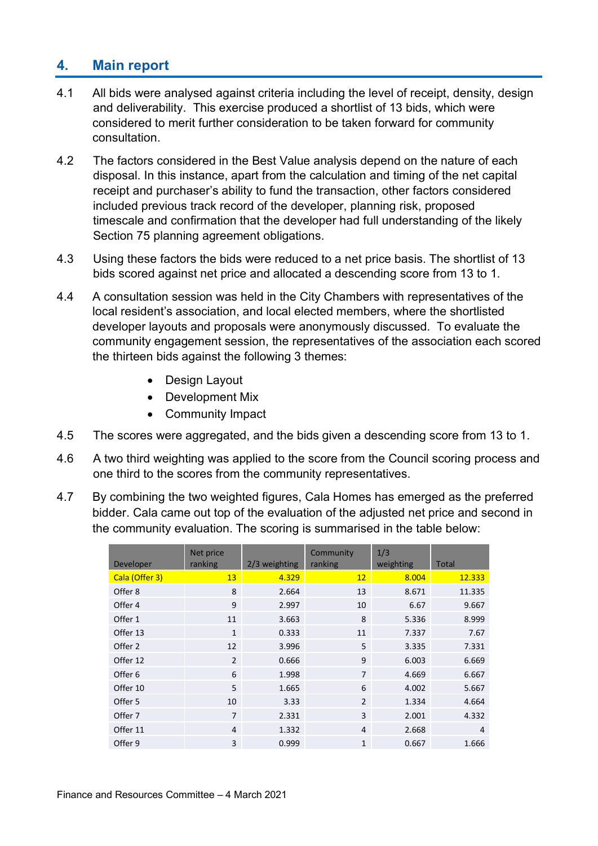# **4. Main report**

- 4.1 All bids were analysed against criteria including the level of receipt, density, design and deliverability. This exercise produced a shortlist of 13 bids, which were considered to merit further consideration to be taken forward for community consultation.
- 4.2 The factors considered in the Best Value analysis depend on the nature of each disposal. In this instance, apart from the calculation and timing of the net capital receipt and purchaser's ability to fund the transaction, other factors considered included previous track record of the developer, planning risk, proposed timescale and confirmation that the developer had full understanding of the likely Section 75 planning agreement obligations.
- 4.3 Using these factors the bids were reduced to a net price basis. The shortlist of 13 bids scored against net price and allocated a descending score from 13 to 1.
- 4.4 A consultation session was held in the City Chambers with representatives of the local resident's association, and local elected members, where the shortlisted developer layouts and proposals were anonymously discussed. To evaluate the community engagement session, the representatives of the association each scored the thirteen bids against the following 3 themes:
	- Design Layout
	- Development Mix
	- Community Impact
- 4.5 The scores were aggregated, and the bids given a descending score from 13 to 1.
- 4.6 A two third weighting was applied to the score from the Council scoring process and one third to the scores from the community representatives.
- 4.7 By combining the two weighted figures, Cala Homes has emerged as the preferred bidder. Cala came out top of the evaluation of the adjusted net price and second in the community evaluation. The scoring is summarised in the table below:

| Developer      | Net price<br>ranking | 2/3 weighting | Community<br>ranking | 1/3<br>weighting | Total          |
|----------------|----------------------|---------------|----------------------|------------------|----------------|
| Cala (Offer 3) | 13                   | 4.329         | 12                   | 8.004            | 12.333         |
| Offer 8        | 8                    | 2.664         | 13                   | 8.671            | 11.335         |
| Offer 4        | 9                    | 2.997         | 10                   | 6.67             | 9.667          |
| Offer 1        | 11                   | 3.663         | 8                    | 5.336            | 8.999          |
| Offer 13       | $\mathbf{1}$         | 0.333         | 11                   | 7.337            | 7.67           |
| Offer 2        | 12                   | 3.996         | 5                    | 3.335            | 7.331          |
| Offer 12       | $\overline{2}$       | 0.666         | 9                    | 6.003            | 6.669          |
| Offer 6        | 6                    | 1.998         | $\overline{7}$       | 4.669            | 6.667          |
| Offer 10       | 5                    | 1.665         | 6                    | 4.002            | 5.667          |
| Offer 5        | 10                   | 3.33          | $\overline{2}$       | 1.334            | 4.664          |
| Offer 7        | $\overline{7}$       | 2.331         | 3                    | 2.001            | 4.332          |
| Offer 11       | 4                    | 1.332         | $\overline{4}$       | 2.668            | $\overline{4}$ |
| Offer 9        | 3                    | 0.999         | $\mathbf{1}$         | 0.667            | 1.666          |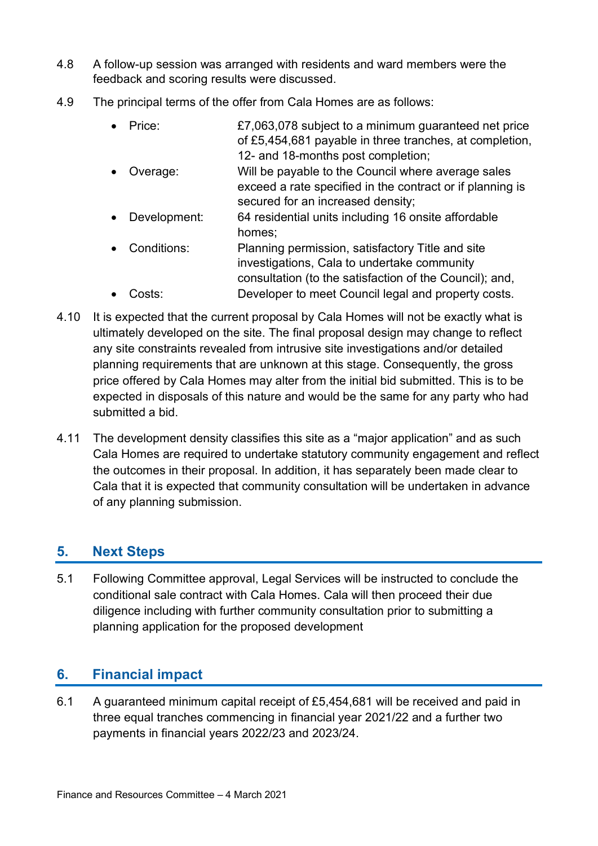- 4.8 A follow-up session was arranged with residents and ward members were the feedback and scoring results were discussed.
- 4.9 The principal terms of the offer from Cala Homes are as follows:
	- Price:  $E7,063,078$  subject to a minimum guaranteed net price of £5,454,681 payable in three tranches, at completion, 12- and 18-months post completion;
	- Overage: Will be payable to the Council where average sales exceed a rate specified in the contract or if planning is secured for an increased density;
	- Development: 64 residential units including 16 onsite affordable homes;
	- Conditions: Planning permission, satisfactory Title and site investigations, Cala to undertake community consultation (to the satisfaction of the Council); and, • Costs: Developer to meet Council legal and property costs.
- 4.10 It is expected that the current proposal by Cala Homes will not be exactly what is ultimately developed on the site. The final proposal design may change to reflect any site constraints revealed from intrusive site investigations and/or detailed planning requirements that are unknown at this stage. Consequently, the gross price offered by Cala Homes may alter from the initial bid submitted. This is to be expected in disposals of this nature and would be the same for any party who had submitted a bid.
- 4.11 The development density classifies this site as a "major application" and as such Cala Homes are required to undertake statutory community engagement and reflect the outcomes in their proposal. In addition, it has separately been made clear to Cala that it is expected that community consultation will be undertaken in advance of any planning submission.

# **5. Next Steps**

5.1 Following Committee approval, Legal Services will be instructed to conclude the conditional sale contract with Cala Homes. Cala will then proceed their due diligence including with further community consultation prior to submitting a planning application for the proposed development

# **6. Financial impact**

6.1 A guaranteed minimum capital receipt of £5,454,681 will be received and paid in three equal tranches commencing in financial year 2021/22 and a further two payments in financial years 2022/23 and 2023/24.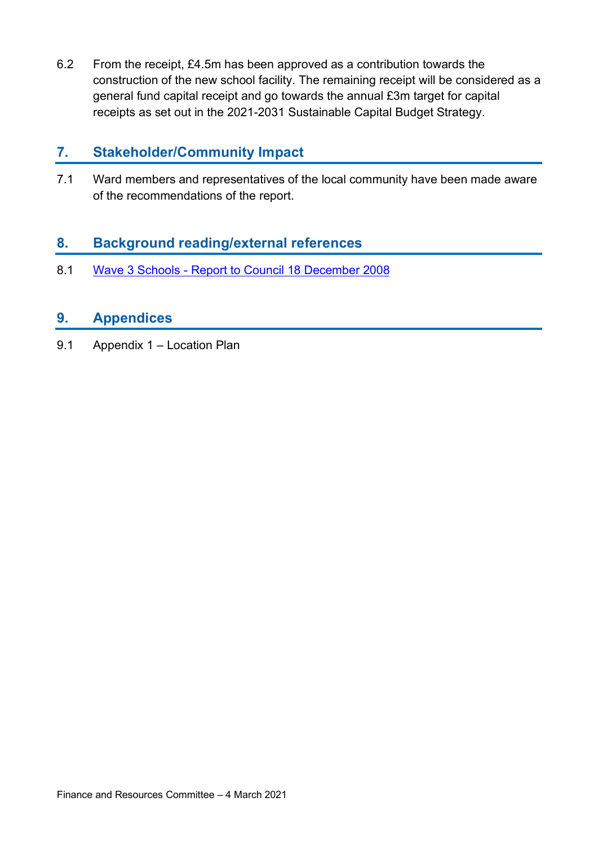6.2 From the receipt, £4.5m has been approved as a contribution towards the construction of the new school facility. The remaining receipt will be considered as a general fund capital receipt and go towards the annual £3m target for capital receipts as set out in the 2021-2031 Sustainable Capital Budget Strategy.

### **7. Stakeholder/Community Impact**

7.1 Ward members and representatives of the local community have been made aware of the recommendations of the report.

# **8. Background reading/external references**

8.1 Wave 3 Schools - [Report to Council 18 December 2008](https://democracy.edinburgh.gov.uk/Data/City%20of%20Edinburgh%20Council/20081218/Agenda/wave_3_schools.pdf)

# **9. Appendices**

9.1 Appendix 1 – Location Plan